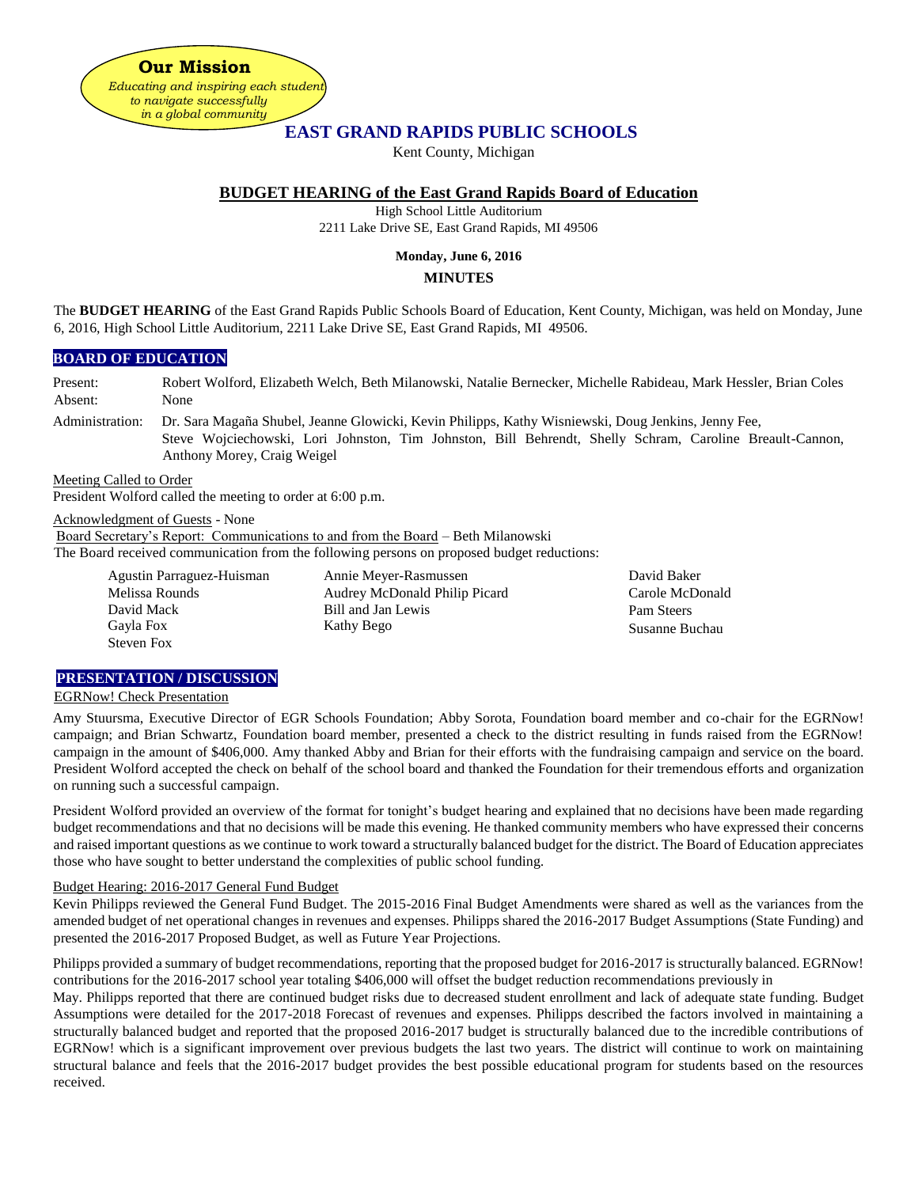**Our Mission**  *Educating and inspiring each student to navigate successfully in a global community*

# **EAST GRAND RAPIDS PUBLIC SCHOOLS**

Kent County, Michigan

## **BUDGET HEARING of the East Grand Rapids Board of Education**

High School Little Auditorium

2211 Lake Drive SE, East Grand Rapids, MI 49506

# **Monday, June 6, 2016**

### **MINUTES**

The **BUDGET HEARING** of the East Grand Rapids Public Schools Board of Education, Kent County, Michigan, was held on Monday, June 6, 2016, High School Little Auditorium, 2211 Lake Drive SE, East Grand Rapids, MI 49506.

#### **BOARD OF EDUCATION**

Present: Robert Wolford, Elizabeth Welch, Beth Milanowski, Natalie Bernecker, Michelle Rabideau, Mark Hessler, Brian Coles Absent: None

Administration: Dr. Sara Magaña Shubel, Jeanne Glowicki, Kevin Philipps, Kathy Wisniewski, Doug Jenkins, Jenny Fee, Steve Wojciechowski, Lori Johnston, Tim Johnston, Bill Behrendt, Shelly Schram, Caroline Breault-Cannon, Anthony Morey, Craig Weigel

Meeting Called to Order

President Wolford called the meeting to order at 6:00 p.m.

Acknowledgment of Guests - None

Board Secretary's Report: Communications to and from the Board – Beth Milanowski The Board received communication from the following persons on proposed budget reductions:

Agustin Parraguez-Huisman Annie Meyer-Rasmussen David Mack Bill and Jan Lewis Gayla Fox Kathy Bego Steven Fox

Melissa Rounds Audrey McDonald Philip Picard

David Baker Carole McDonald Pam Steers Susanne Buchau

#### **PRESENTATION / DISCUSSION**

#### EGRNow! Check Presentation

Amy Stuursma, Executive Director of EGR Schools Foundation; Abby Sorota, Foundation board member and co-chair for the EGRNow! campaign; and Brian Schwartz, Foundation board member, presented a check to the district resulting in funds raised from the EGRNow! campaign in the amount of \$406,000. Amy thanked Abby and Brian for their efforts with the fundraising campaign and service on the board. President Wolford accepted the check on behalf of the school board and thanked the Foundation for their tremendous efforts and organization on running such a successful campaign.

President Wolford provided an overview of the format for tonight's budget hearing and explained that no decisions have been made regarding budget recommendations and that no decisions will be made this evening. He thanked community members who have expressed their concerns and raised important questions as we continue to work toward a structurally balanced budget for the district. The Board of Education appreciates those who have sought to better understand the complexities of public school funding.

#### Budget Hearing: 2016-2017 General Fund Budget

Kevin Philipps reviewed the General Fund Budget. The 2015-2016 Final Budget Amendments were shared as well as the variances from the amended budget of net operational changes in revenues and expenses. Philipps shared the 2016-2017 Budget Assumptions (State Funding) and presented the 2016-2017 Proposed Budget, as well as Future Year Projections.

Philipps provided a summary of budget recommendations, reporting that the proposed budget for 2016-2017 is structurally balanced. EGRNow! contributions for the 2016-2017 school year totaling \$406,000 will offset the budget reduction recommendations previously in

May. Philipps reported that there are continued budget risks due to decreased student enrollment and lack of adequate state funding. Budget Assumptions were detailed for the 2017-2018 Forecast of revenues and expenses. Philipps described the factors involved in maintaining a structurally balanced budget and reported that the proposed 2016-2017 budget is structurally balanced due to the incredible contributions of EGRNow! which is a significant improvement over previous budgets the last two years. The district will continue to work on maintaining structural balance and feels that the 2016-2017 budget provides the best possible educational program for students based on the resources received.